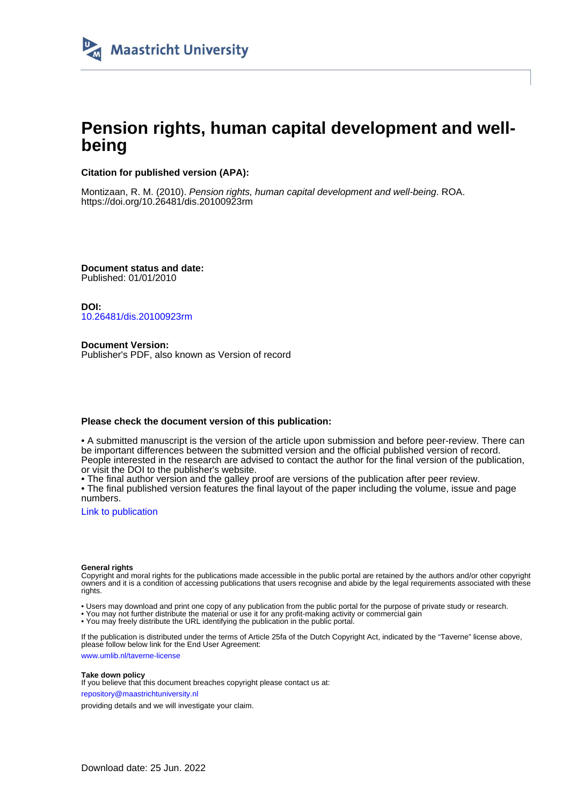

# **Pension rights, human capital development and wellbeing**

#### **Citation for published version (APA):**

Montizaan, R. M. (2010). Pension rights, human capital development and well-being. ROA. <https://doi.org/10.26481/dis.20100923rm>

**Document status and date:** Published: 01/01/2010

**DOI:** [10.26481/dis.20100923rm](https://doi.org/10.26481/dis.20100923rm)

**Document Version:** Publisher's PDF, also known as Version of record

#### **Please check the document version of this publication:**

• A submitted manuscript is the version of the article upon submission and before peer-review. There can be important differences between the submitted version and the official published version of record. People interested in the research are advised to contact the author for the final version of the publication, or visit the DOI to the publisher's website.

• The final author version and the galley proof are versions of the publication after peer review.

• The final published version features the final layout of the paper including the volume, issue and page numbers.

[Link to publication](https://cris.maastrichtuniversity.nl/en/publications/439d7f82-61bf-4b1d-91ff-5d9669fd70ed)

#### **General rights**

Copyright and moral rights for the publications made accessible in the public portal are retained by the authors and/or other copyright owners and it is a condition of accessing publications that users recognise and abide by the legal requirements associated with these rights.

• Users may download and print one copy of any publication from the public portal for the purpose of private study or research.

• You may not further distribute the material or use it for any profit-making activity or commercial gain

• You may freely distribute the URL identifying the publication in the public portal.

If the publication is distributed under the terms of Article 25fa of the Dutch Copyright Act, indicated by the "Taverne" license above, please follow below link for the End User Agreement:

www.umlib.nl/taverne-license

#### **Take down policy**

If you believe that this document breaches copyright please contact us at: repository@maastrichtuniversity.nl

providing details and we will investigate your claim.